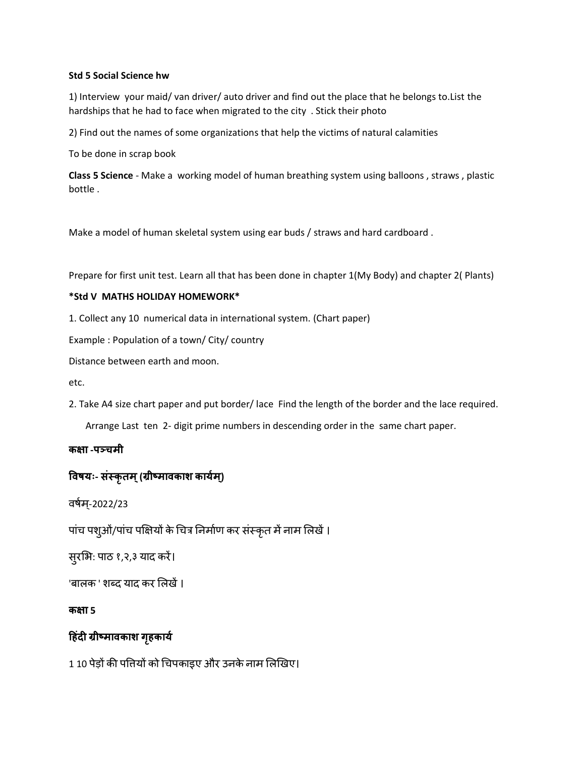### **Std 5 Social Science hw**

1) Interview your maid/ van driver/ auto driver and find out the place that he belongs to.List the hardships that he had to face when migrated to the city . Stick their photo

2) Find out the names of some organizations that help the victims of natural calamities

To be done in scrap book

**Class 5 Science** - Make a working model of human breathing system using balloons , straws , plastic bottle .

Make a model of human skeletal system using ear buds / straws and hard cardboard .

Prepare for first unit test. Learn all that has been done in chapter 1(My Body) and chapter 2( Plants)

### **\*Std V MATHS HOLIDAY HOMEWORK\***

1. Collect any 10 numerical data in international system. (Chart paper)

Example : Population of a town/ City/ country

Distance between earth and moon.

etc.

2. Take A4 size chart paper and put border/ lace Find the length of the border and the lace required.

Arrange Last ten 2- digit prime numbers in descending order in the same chart paper.

## **कक्षा -पञ्चमी**

# **विषयः- संस्कृतम्(ग्रीष्मािकाश काययम ्)**

वर्षम्-2022/23

पांच पशुओं/पांच पक्षियों के चित्र निर्माण कर संस्कृत में नाम लिखें।

सुरभि: पाठ १,२,३ याद करें।

'बालक ' शब्द याद कर लिखें ।

**कक्षा 5** 

## **ह ंदी ग्रीष्मािकाश ग ृकायय**

1 10 पेड़ों की पत्तियों को चिपकाइए और उनके नाम लिखिए।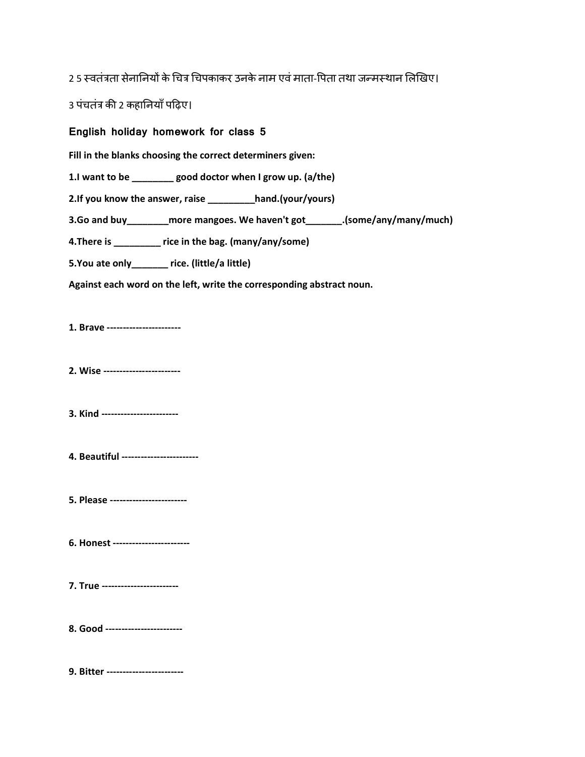2.5 स्वतंत्रता सेनानियों के चित्र चिपकाकर उनके नाम एवं माता-पिता तथा जन्मस्थान लिखिए।

3 पंचतंत्र की 2 कहानियाँ पढ़िए।

English holiday homework for class 5

Fill in the blanks choosing the correct determiners given:

1.1 want to be \_\_\_\_\_\_\_\_ good doctor when I grow up. (a/the)

2.If you know the answer, raise \_\_\_\_\_\_\_\_hand.(your/yours)

3.Go and buy\_\_\_\_\_\_\_\_\_more mangoes. We haven't got\_\_\_\_\_\_\_\_.(some/any/many/much)

4. There is \_\_\_\_\_\_\_\_ rice in the bag. (many/any/some)

5. You ate only\_\_\_\_\_\_\_ rice. (little/a little)

Against each word on the left, write the corresponding abstract noun.

1. Brave -----------------------

2. Wise ------------------------

3. Kind ------------------------

4. Beautiful ------------------------

5. Please ------------------------

6. Honest -----------------------

7. True ------------------------

8. Good ------------------------

9. Bitter ------------------------